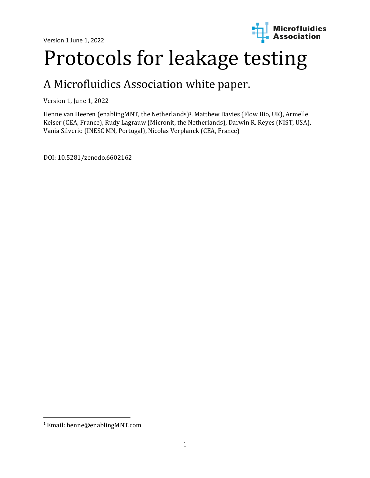

# Protocols for leakage testing

## A Microfluidics Association white paper.

Version 1, June 1, 2022

Henne van Heeren (enablingMNT, the Netherlands) <sup>1</sup>, Matthew Davies (Flow Bio, UK), Armelle Keiser (CEA, France), Rudy Lagrauw (Micronit, the Netherlands), Darwin R. Reyes (NIST, USA), Vania Silverio (INESC MN, Portugal), Nicolas Verplanck (CEA, France)

DOI: 10.5281/zenodo.6602162

<sup>1</sup> Email: henne@enablingMNT.com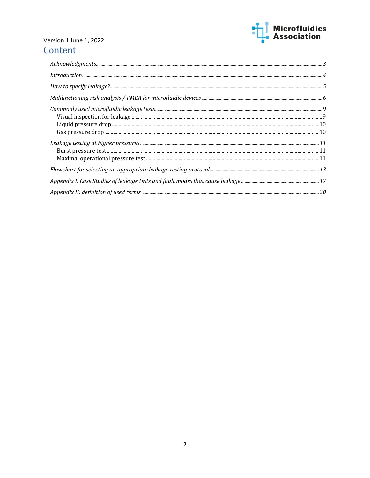

## Version 1 June 1, 2022 Content

| $How to specify\ leakage?\\5$                                                                                                                                                                                                                                 |  |
|---------------------------------------------------------------------------------------------------------------------------------------------------------------------------------------------------------------------------------------------------------------|--|
|                                                                                                                                                                                                                                                               |  |
| $\begin{tabular}{c} \hline \textit{Commonly used microfluidic leakage tests} \\\ \textit{Visual inspection for leakage} \\\ \textit{Light pressure drop} \\\ \textit{Case pressure drop} \\\ \textit{Case pressure} \\\ \textit{To} \\\ \hline \end{tabular}$ |  |
|                                                                                                                                                                                                                                                               |  |
|                                                                                                                                                                                                                                                               |  |
|                                                                                                                                                                                                                                                               |  |
|                                                                                                                                                                                                                                                               |  |
|                                                                                                                                                                                                                                                               |  |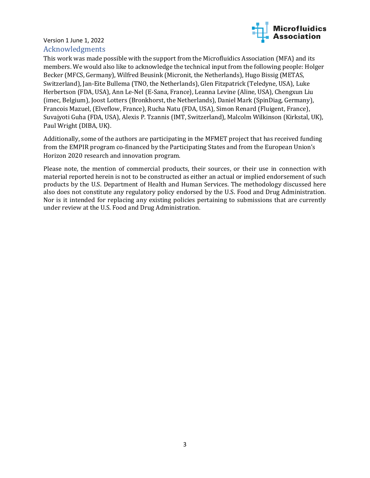

#### <span id="page-2-0"></span>Version 1 June 1, 2022 Acknowledgments

This work was made possible with the support from the Microfluidics Association (MFA) and its members. We would also like to acknowledge the technical input from the following people: Holger Becker (MFCS, Germany), Wilfred Beusink (Micronit, the Netherlands), Hugo Bissig (METAS, Switzerland), Jan-Eite Bullema (TNO, the Netherlands), Glen Fitzpatrick (Teledyne, USA), Luke Herbertson (FDA, USA), Ann Le-Nel (E-Sana, France), Leanna Levine (Aline, USA), Chengxun Liu (imec, Belgium), Joost Lotters (Bronkhorst, the Netherlands), Daniel Mark (SpinDiag, Germany), Francois Mazuel, (Elveflow, France), Rucha Natu (FDA, USA), Simon Renard (Fluigent, France), Suvajyoti Guha (FDA, USA), Alexis P. Tzannis (IMT, Switzerland), Malcolm Wilkinson (Kirkstal, UK), Paul Wright (DIBA, UK).

Additionally, some of the authors are participating in the MFMET project that has received funding from the EMPIR program co-financed by the Participating States and from the European Union's Horizon 2020 research and innovation program.

Please note, the mention of commercial products, their sources, or their use in connection with material reported herein is not to be constructed as either an actual or implied endorsement of such products by the U.S. Department of Health and Human Services. The methodology discussed here also does not constitute any regulatory policy endorsed by the U.S. Food and Drug Administration. Nor is it intended for replacing any existing policies pertaining to submissions that are currently under review at the U.S. Food and Drug Administration.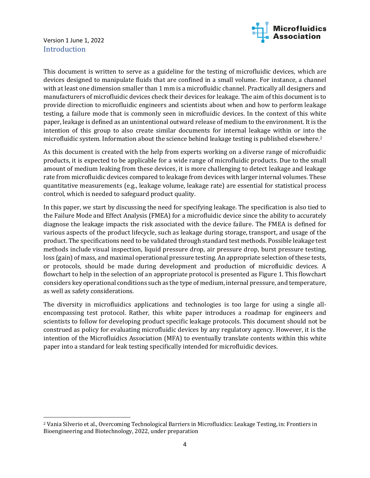

#### <span id="page-3-0"></span>Version 1 June 1, 2022 Introduction

This document is written to serve as a guideline for the testing of microfluidic devices, which are devices designed to manipulate fluids that are confined in a small volume. For instance, a channel with at least one dimension smaller than 1 mm is a microfluidic channel. Practically all designers and manufacturers of microfluidic devices check their devices for leakage. The aim of this document is to provide direction to microfluidic engineers and scientists about when and how to perform leakage testing, a failure mode that is commonly seen in microfluidic devices. In the context of this white paper, leakage is defined as an unintentional outward release of medium to the environment. It is the intention of this group to also create similar documents for internal leakage within or into the microfluidic system. Information about the science behind leakage testing is published elsewhere.<sup>2</sup>

As this document is created with the help from experts working on a diverse range of microfluidic products, it is expected to be applicable for a wide range of microfluidic products. Due to the small amount of medium leaking from these devices, it is more challenging to detect leakage and leakage rate from microfluidic devices compared to leakage from devices with larger internal volumes. These quantitative measurements (e.g., leakage volume, leakage rate) are essential for statistical process control, which is needed to safeguard product quality.

In this paper, we start by discussing the need for specifying leakage. The specification is also tied to the Failure Mode and Effect Analysis (FMEA) for a microfluidic device since the ability to accurately diagnose the leakage impacts the risk associated with the device failure. The FMEA is defined for various aspects of the product lifecycle, such as leakage during storage, transport, and usage of the product. The specifications need to be validated through standard test methods. Possible leakage test methods include visual inspection, liquid pressure drop, air pressure drop, burst pressure testing, loss (gain) of mass, and maximal operational pressure testing. An appropriate selection of these tests, or protocols, should be made during development and production of microfluidic devices. A flowchart to help in the selection of an appropriate protocol is presented as Figure 1. This flowchart considers key operational conditions such as the type of medium, internal pressure, and temperature, as well as safety considerations.

The diversity in microfluidics applications and technologies is too large for using a single allencompassing test protocol. Rather, this white paper introduces a roadmap for engineers and scientists to follow for developing product specific leakage protocols. This document should not be construed as policy for evaluating microfluidic devices by any regulatory agency. However, it is the intention of the Microfluidics Association (MFA) to eventually translate contents within this white paper into a standard for leak testing specifically intended for microfluidic devices.

<sup>2</sup> Vania Silverio et al., Overcoming Technological Barriers in Microfluidics: Leakage Testing, in: Frontiers in Bioengineering and Biotechnology, 2022, under preparation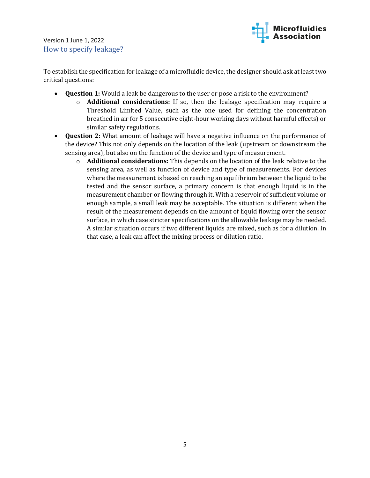<span id="page-4-0"></span>Version 1 June 1, 2022 How to specify leakage?



To establish the specification for leakage of a microfluidic device, the designer should ask at least two critical questions:

- **Question 1:** Would a leak be dangerous to the user or pose a risk to the environment?
	- o **Additional considerations:** If so, then the leakage specification may require a Threshold Limited Value, such as the one used for defining the concentration breathed in air for 5 consecutive eight-hour working days without harmful effects) or similar safety regulations.
- **Question 2:** What amount of leakage will have a negative influence on the performance of the device? This not only depends on the location of the leak (upstream or downstream the sensing area), but also on the function of the device and type of measurement.
	- o **Additional considerations:** This depends on the location of the leak relative to the sensing area, as well as function of device and type of measurements. For devices where the measurement is based on reaching an equilibrium between the liquid to be tested and the sensor surface, a primary concern is that enough liquid is in the measurement chamber or flowing through it. With a reservoir of sufficient volume or enough sample, a small leak may be acceptable. The situation is different when the result of the measurement depends on the amount of liquid flowing over the sensor surface, in which case stricter specifications on the allowable leakage may be needed. A similar situation occurs if two different liquids are mixed, such as for a dilution. In that case, a leak can affect the mixing process or dilution ratio.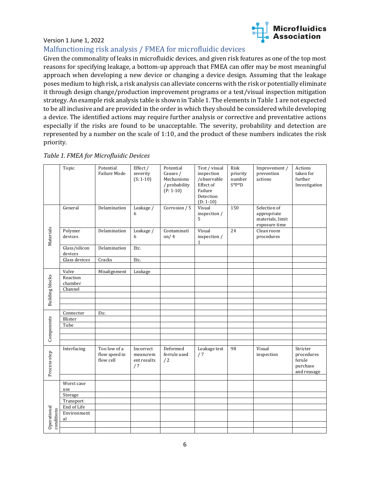

#### <span id="page-5-0"></span>Malfunctioning risk analysis / FMEA for microfluidic devices

Given the commonality of leaks in microfluidic devices, and given risk features as one of the top most reasons for specifying leakage, a bottom-up approach that FMEA can offer may be most meaningful approach when developing a new device or changing a device design. Assuming that the leakage poses medium to high risk, a risk analysis can alleviate concerns with the risk or potentially eliminate it through design change/production improvement programs or a test/visual inspection mitigation strategy. An example risk analysis table is shown in Table 1. The elements in Table 1 are not expected to be all inclusive and are provided in the order in which they should be considered while developing a device. The identified actions may require further analysis or corrective and preventative actions especially if the risks are found to be unacceptable. The severity, probability and detection are represented by a number on the scale of 1:10, and the product of these numbers indicates the risk priority.

|                           | Topic                    | Potential<br>Failure Mode                  | Effect /<br>severity<br>$(S: 1-10)$        | Potential<br>Causes /<br>Mechanisms<br>/ probability<br>$(P: 1-10)$ | Test / visual<br>inspection<br>/observable<br>Effect of<br>Failure<br>Detection<br>$(D: 1-10)$ | Risk<br>priority<br>number<br>$S^*P^*D$ | Improvement /<br>prevention<br>actions                           | Actions<br>taken for<br>further<br>Investigation            |
|---------------------------|--------------------------|--------------------------------------------|--------------------------------------------|---------------------------------------------------------------------|------------------------------------------------------------------------------------------------|-----------------------------------------|------------------------------------------------------------------|-------------------------------------------------------------|
| Materials                 | General                  | Delamination                               | Leakage /<br>6                             | Corrosion / 5                                                       | Visual<br>inspection /<br>5                                                                    | $\overline{150}$                        | Selection of<br>appropriate<br>materials, limit<br>exposure time |                                                             |
|                           | Polymer<br>devices       | Delamination                               | Leakage /<br>6                             | Contaminati<br>on/ $4$                                              | Visual<br>inspection /<br>$\mathbf{1}$                                                         | 24                                      | Clean room<br>procedures                                         |                                                             |
|                           | Glass/silicon<br>devices | Delamination                               | Etc.                                       |                                                                     |                                                                                                |                                         |                                                                  |                                                             |
|                           | Glass devices            | Cracks                                     | Etc.                                       |                                                                     |                                                                                                |                                         |                                                                  |                                                             |
|                           |                          |                                            |                                            |                                                                     |                                                                                                |                                         |                                                                  |                                                             |
|                           | Valve<br>Reaction        | Misalignment                               | Leakage                                    |                                                                     |                                                                                                |                                         |                                                                  |                                                             |
| <b>Building blocks</b>    | chamber                  |                                            |                                            |                                                                     |                                                                                                |                                         |                                                                  |                                                             |
|                           | Channel                  |                                            |                                            |                                                                     |                                                                                                |                                         |                                                                  |                                                             |
|                           |                          |                                            |                                            |                                                                     |                                                                                                |                                         |                                                                  |                                                             |
|                           |                          |                                            |                                            |                                                                     |                                                                                                |                                         |                                                                  |                                                             |
|                           |                          |                                            |                                            |                                                                     |                                                                                                |                                         |                                                                  |                                                             |
| Components                | Connector                | Etc.                                       |                                            |                                                                     |                                                                                                |                                         |                                                                  |                                                             |
|                           | Blister                  |                                            |                                            |                                                                     |                                                                                                |                                         |                                                                  |                                                             |
|                           | Tube                     |                                            |                                            |                                                                     |                                                                                                |                                         |                                                                  |                                                             |
|                           |                          |                                            |                                            |                                                                     |                                                                                                |                                         |                                                                  |                                                             |
|                           |                          |                                            |                                            |                                                                     |                                                                                                |                                         |                                                                  |                                                             |
| Process step              | Interfacing              | Too low of a<br>flow speed in<br>flow cell | Incorrect<br>measurem<br>ent results<br>/7 | Deformed<br>ferrule used<br>/2                                      | Leakage test<br>/7                                                                             | 98                                      | Visual<br>inspection                                             | Stricter<br>procedures<br>ferule<br>purchase<br>and reusage |
|                           | Worst case               |                                            |                                            |                                                                     |                                                                                                |                                         |                                                                  |                                                             |
|                           | use                      |                                            |                                            |                                                                     |                                                                                                |                                         |                                                                  |                                                             |
|                           | Storage                  |                                            |                                            |                                                                     |                                                                                                |                                         |                                                                  |                                                             |
|                           | Transport                |                                            |                                            |                                                                     |                                                                                                |                                         |                                                                  |                                                             |
|                           | End of Life              |                                            |                                            |                                                                     |                                                                                                |                                         |                                                                  |                                                             |
| Operational<br>conditions | Environment<br>al        |                                            |                                            |                                                                     |                                                                                                |                                         |                                                                  |                                                             |
|                           |                          |                                            |                                            |                                                                     |                                                                                                |                                         |                                                                  |                                                             |
|                           |                          |                                            |                                            |                                                                     |                                                                                                |                                         |                                                                  |                                                             |

#### *Table 1. FMEA for Microfluidic Devices*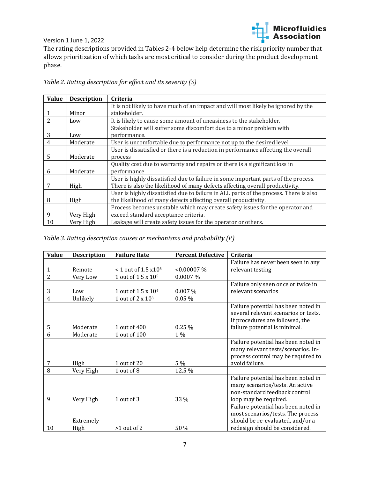

The rating descriptions provided in Tables 2-4 below help determine the risk priority number that allows prioritization of which tasks are most critical to consider during the product development phase.

| Table 2. Rating description for effect and its severity (S) |  |  |  |  |
|-------------------------------------------------------------|--|--|--|--|
|-------------------------------------------------------------|--|--|--|--|

| <b>Value</b>   | <b>Description</b> | <b>Criteria</b>                                                                       |
|----------------|--------------------|---------------------------------------------------------------------------------------|
|                |                    | It is not likely to have much of an impact and will most likely be ignored by the     |
|                | Minor              | stakeholder.                                                                          |
| $\overline{2}$ | Low                | It is likely to cause some amount of uneasiness to the stakeholder.                   |
|                |                    | Stakeholder will suffer some discomfort due to a minor problem with                   |
| 3              | Low                | performance.                                                                          |
| 4              | Moderate           | User is uncomfortable due to performance not up to the desired level.                 |
|                |                    | User is dissatisfied or there is a reduction in performance affecting the overall     |
| 5              | Moderate           | process                                                                               |
|                |                    | Quality cost due to warranty and repairs or there is a significant loss in            |
| 6              | Moderate           | performance                                                                           |
|                |                    | User is highly dissatisfied due to failure in some important parts of the process.    |
| 7              | High               | There is also the likelihood of many defects affecting overall productivity.          |
|                |                    | User is highly dissatisfied due to failure in ALL parts of the process. There is also |
| 8              | High               | the likelihood of many defects affecting overall productivity.                        |
|                |                    | Process becomes unstable which may create safety issues for the operator and          |
| 9              | Very High          | exceed standard acceptance criteria.                                                  |
| 10             | Very High          | Leakage will create safety issues for the operator or others.                         |

#### *Table 3. Rating description causes or mechanisms and probability (P)*

| <b>Value</b>   | <b>Description</b> | <b>Failure Rate</b>                       | <b>Percent Defective</b> | Criteria                                                                                                                                        |
|----------------|--------------------|-------------------------------------------|--------------------------|-------------------------------------------------------------------------------------------------------------------------------------------------|
|                |                    |                                           |                          | Failure has never been seen in any                                                                                                              |
|                | Remote             | $< 1$ out of 1.5 $\times$ 10 <sup>6</sup> | < 0.00007 %              | relevant testing                                                                                                                                |
| $\overline{2}$ | Very Low           | 1 out of 1.5 x 10 <sup>5</sup>            | $0.0007\%$               |                                                                                                                                                 |
|                |                    |                                           |                          | Failure only seen once or twice in                                                                                                              |
| 3              | Low                | 1 out of $1.5 \times 10^4$                | 0.007%                   | relevant scenarios                                                                                                                              |
| $\overline{4}$ | Unlikely           | 1 out of 2 x 10 <sup>3</sup>              | 0.05%                    |                                                                                                                                                 |
| 5              | Moderate           | 1 out of 400                              | 0.25 %                   | Failure potential has been noted in<br>several relevant scenarios or tests.<br>If procedures are followed, the<br>failure potential is minimal. |
| 6              | Moderate           | 1 out of 100                              | 1 %                      |                                                                                                                                                 |
| 7              | High               | 1 out of 20                               | 5 %                      | Failure potential has been noted in<br>many relevant tests/scenarios. In-<br>process control may be required to<br>avoid failure.               |
| 8              | Very High          | 1 out of 8                                | 12.5 %                   |                                                                                                                                                 |
| 9              | Very High          | 1 out of 3                                | 33 %                     | Failure potential has been noted in<br>many scenarios/tests. An active<br>non-standard feedback control<br>loop may be required.                |
| 10             | Extremely<br>High  | $>1$ out of 2                             | 50 %                     | Failure potential has been noted in<br>most scenarios/tests. The process<br>should be re-evaluated, and/or a<br>redesign should be considered.  |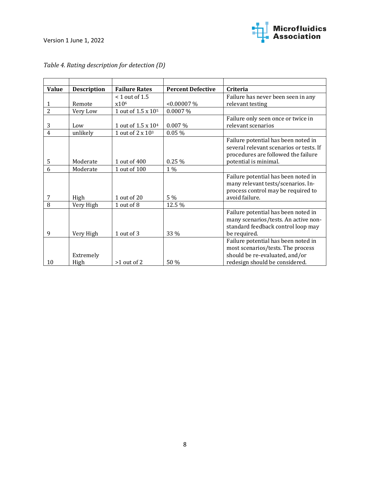

| <b>Value</b>   | <b>Description</b> | <b>Failure Rates</b>           | <b>Percent Defective</b> | Criteria                                                                                                                                     |
|----------------|--------------------|--------------------------------|--------------------------|----------------------------------------------------------------------------------------------------------------------------------------------|
|                |                    | $<$ 1 out of 1.5               |                          | Failure has never been seen in any                                                                                                           |
| 1              | Remote             | x10 <sup>6</sup>               | < 0.00007 %              | relevant testing                                                                                                                             |
| $\overline{2}$ | Very Low           | 1 out of 1.5 x 10 <sup>5</sup> | 0.0007 %                 |                                                                                                                                              |
|                |                    |                                |                          | Failure only seen once or twice in                                                                                                           |
| 3              | Low                | 1 out of 1.5 x 104             | $0.007\%$                | relevant scenarios                                                                                                                           |
| 4              | unlikely           | 1 out of 2 x 10 <sup>3</sup>   | 0.05%                    |                                                                                                                                              |
|                |                    |                                |                          | Failure potential has been noted in<br>several relevant scenarios or tests. If<br>procedures are followed the failure                        |
| 5              | Moderate           | 1 out of 400                   | 0.25%                    | potential is minimal.                                                                                                                        |
| 6              | Moderate           | 1 out of 100                   | 1 %                      |                                                                                                                                              |
| 7              | High               | 1 out of 20                    | 5 %                      | Failure potential has been noted in<br>many relevant tests/scenarios. In-<br>process control may be required to<br>avoid failure.            |
| 8              | Very High          | 1 out of 8                     | 12.5 %                   |                                                                                                                                              |
| 9              | Very High          | 1 out of 3                     | 33 %                     | Failure potential has been noted in<br>many scenarios/tests. An active non-<br>standard feedback control loop may<br>be required.            |
| 10             | Extremely<br>High  | $>1$ out of 2                  | 50 %                     | Failure potential has been noted in<br>most scenarios/tests. The process<br>should be re-evaluated, and/or<br>redesign should be considered. |

## *Table 4. Rating description for detection (D)*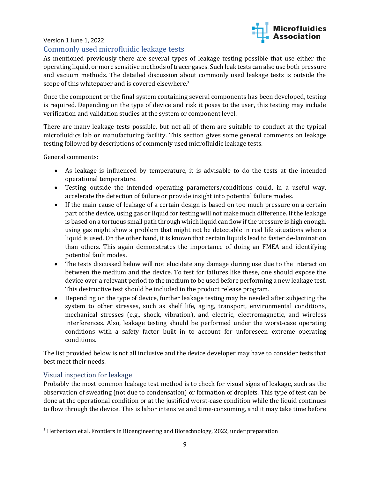

#### <span id="page-8-0"></span>Commonly used microfluidic leakage tests

As mentioned previously there are several types of leakage testing possible that use either the operating liquid, or more sensitive methods of tracer gases. Such leak tests can also use both pressure and vacuum methods. The detailed discussion about commonly used leakage tests is outside the scope of this whitepaper and is covered elsewhere. 3

Once the component or the final system containing several components has been developed, testing is required. Depending on the type of device and risk it poses to the user, this testing may include verification and validation studies at the system or component level.

There are many leakage tests possible, but not all of them are suitable to conduct at the typical microfluidics lab or manufacturing facility. This section gives some general comments on leakage testing followed by descriptions of commonly used microfluidic leakage tests.

General comments:

- As leakage is influenced by temperature, it is advisable to do the tests at the intended operational temperature.
- Testing outside the intended operating parameters/conditions could, in a useful way, accelerate the detection of failure or provide insight into potential failure modes.
- If the main cause of leakage of a certain design is based on too much pressure on a certain part of the device, using gas or liquid for testing will not make much difference. If the leakage is based on a tortuous small path through which liquid can flow if the pressure is high enough, using gas might show a problem that might not be detectable in real life situations when a liquid is used. On the other hand, it is known that certain liquids lead to faster de-lamination than others. This again demonstrates the importance of doing an FMEA and identifying potential fault modes.
- The tests discussed below will not elucidate any damage during use due to the interaction between the medium and the device. To test for failures like these, one should expose the device over a relevant period to the medium to be used before performing a new leakage test. This destructive test should be included in the product release program.
- Depending on the type of device, further leakage testing may be needed after subjecting the system to other stresses, such as shelf life, aging, transport, environmental conditions, mechanical stresses (e.g., shock, vibration), and electric, electromagnetic, and wireless interferences. Also, leakage testing should be performed under the worst-case operating conditions with a safety factor built in to account for unforeseen extreme operating conditions.

The list provided below is not all inclusive and the device developer may have to consider tests that best meet their needs.

#### <span id="page-8-1"></span>Visual inspection for leakage

Probably the most common leakage test method is to check for visual signs of leakage, such as the observation of sweating (not due to condensation) or formation of droplets. This type of test can be done at the operational condition or at the justified worst-case condition while the liquid continues to flow through the device. This is labor intensive and time-consuming, and it may take time before

<sup>3</sup> Herbertson et al. Frontiers in Bioengineering and Biotechnology, 2022, under preparation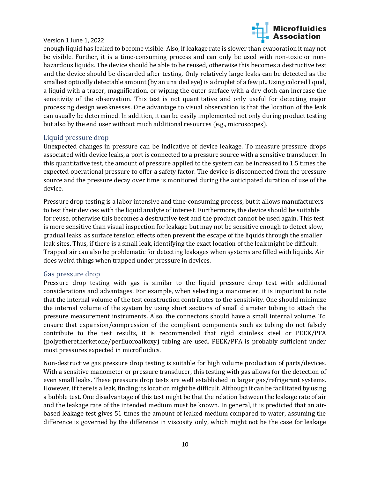

enough liquid has leaked to become visible. Also, if leakage rate is slower than evaporation it may not be visible. Further, it is a time-consuming process and can only be used with non-toxic or nonhazardous liquids. The device should be able to be reused, otherwise this becomes a destructive test and the device should be discarded after testing. Only relatively large leaks can be detected as the smallest optically detectable amount (by an unaided eye) is a droplet of a few µL. Using colored liquid, a liquid with a tracer, magnification, or wiping the outer surface with a dry cloth can increase the sensitivity of the observation. This test is not quantitative and only useful for detecting major processing design weaknesses. One advantage to visual observation is that the location of the leak can usually be determined. In addition, it can be easily implemented not only during product testing but also by the end user without much additional resources (e.g., microscopes).

#### <span id="page-9-0"></span>Liquid pressure drop

Unexpected changes in pressure can be indicative of device leakage. To measure pressure drops associated with device leaks, a port is connected to a pressure source with a sensitive transducer. In this quantitative test, the amount of pressure applied to the system can be increased to 1.5 times the expected operational pressure to offer a safety factor. The device is disconnected from the pressure source and the pressure decay over time is monitored during the anticipated duration of use of the device.

Pressure drop testing is a labor intensive and time-consuming process, but it allows manufacturers to test their devices with the liquid analyte of interest. Furthermore, the device should be suitable for reuse, otherwise this becomes a destructive test and the product cannot be used again. This test is more sensitive than visual inspection for leakage but may not be sensitive enough to detect slow, gradual leaks, as surface tension effects often prevent the escape of the liquids through the smaller leak sites. Thus, if there is a small leak, identifying the exact location of the leak might be difficult. Trapped air can also be problematic for detecting leakages when systems are filled with liquids. Air does weird things when trapped under pressure in devices.

#### <span id="page-9-1"></span>Gas pressure drop

Pressure drop testing with gas is similar to the liquid pressure drop test with additional considerations and advantages. For example, when selecting a manometer, it is important to note that the internal volume of the test construction contributes to the sensitivity. One should minimize the internal volume of the system by using short sections of small diameter tubing to attach the pressure measurement instruments. Also, the connectors should have a small internal volume. To ensure that expansion/compression of the compliant components such as tubing do not falsely contribute to the test results, it is recommended that rigid stainless steel or PEEK/PFA (polyetheretherketone/perfluoroalkoxy) tubing are used. PEEK/PFA is probably sufficient under most pressures expected in microfluidics.

Non-destructive gas pressure drop testing is suitable for high volume production of parts/devices. With a sensitive manometer or pressure transducer, this testing with gas allows for the detection of even small leaks. These pressure drop tests are well established in larger gas/refrigerant systems. However, if there is a leak, finding its location might be difficult. Although it can be facilitated by using a bubble test. One disadvantage of this test might be that the relation between the leakage rate of air and the leakage rate of the intended medium must be known. In general, it is predicted that an airbased leakage test gives 51 times the amount of leaked medium compared to water, assuming the difference is governed by the difference in viscosity only, which might not be the case for leakage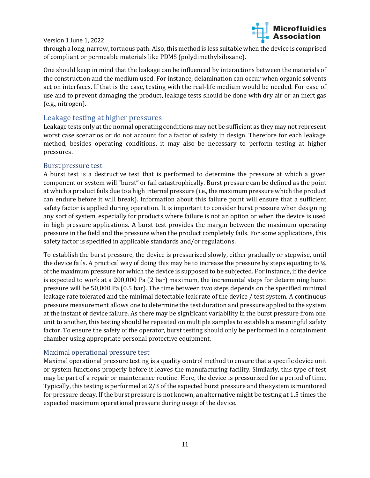

through a long, narrow, tortuous path. Also, this method is less suitable when the device is comprised of compliant or permeable materials like PDMS (polydimethylsiloxane).

One should keep in mind that the leakage can be influenced by interactions between the materials of the construction and the medium used. For instance, delamination can occur when organic solvents act on interfaces. If that is the case, testing with the real-life medium would be needed. For ease of use and to prevent damaging the product, leakage tests should be done with dry air or an inert gas (e.g., nitrogen).

#### <span id="page-10-0"></span>Leakage testing at higher pressures

Leakage tests only at the normal operating conditions may not be sufficient as they may not represent worst case scenarios or do not account for a factor of safety in design. Therefore for each leakage method, besides operating conditions, it may also be necessary to perform testing at higher pressures.

#### <span id="page-10-1"></span>Burst pressure test

A burst test is a destructive test that is performed to determine the pressure at which a given component or system will "burst" or fail catastrophically. Burst pressure can be defined as the point at which a product fails due to a high internal pressure (i.e., the maximum pressure which the product can endure before it will break). Information about this failure point will ensure that a sufficient safety factor is applied during operation. It is important to consider burst pressure when designing any sort of system, especially for products where failure is not an option or when the device is used in high pressure applications. A burst test provides the margin between the maximum operating pressure in the field and the pressure when the product completely fails. For some applications, this safety factor is specified in applicable standards and/or regulations.

To establish the burst pressure, the device is pressurized slowly, either gradually or stepwise, until the device fails. A practical way of doing this may be to increase the pressure by steps equating to ¼ of the maximum pressure for which the device is supposed to be subjected. For instance, if the device is expected to work at a 200,000 Pa (2 bar) maximum, the incremental steps for determining burst pressure will be 50,000 Pa (0.5 bar). The time between two steps depends on the specified minimal leakage rate tolerated and the minimal detectable leak rate of the device / test system. A continuous pressure measurement allows one to determine the test duration and pressure applied to the system at the instant of device failure. As there may be significant variability in the burst pressure from one unit to another, this testing should be repeated on multiple samples to establish a meaningful safety factor. To ensure the safety of the operator, burst testing should only be performed in a containment chamber using appropriate personal protective equipment.

#### <span id="page-10-2"></span>Maximal operational pressure test

Maximal operational pressure testing is a quality control method to ensure that a specific device unit or system functions properly before it leaves the manufacturing facility. Similarly, this type of test may be part of a repair or maintenance routine. Here, the device is pressurized for a period of time. Typically, this testing is performed at 2/3 of the expected burst pressure and the system is monitored for pressure decay. If the burst pressure is not known, an alternative might be testing at 1.5 times the expected maximum operational pressure during usage of the device.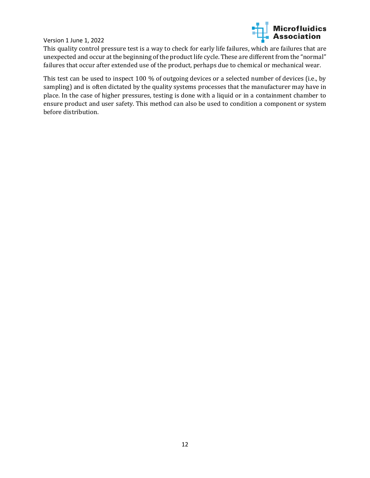

This quality control pressure test is a way to check for early life failures, which are failures that are unexpected and occur at the beginning of the product life cycle. These are different from the "normal" failures that occur after extended use of the product, perhaps due to chemical or mechanical wear.

This test can be used to inspect 100 % of outgoing devices or a selected number of devices (i.e., by sampling) and is often dictated by the quality systems processes that the manufacturer may have in place. In the case of higher pressures, testing is done with a liquid or in a containment chamber to ensure product and user safety. This method can also be used to condition a component or system before distribution.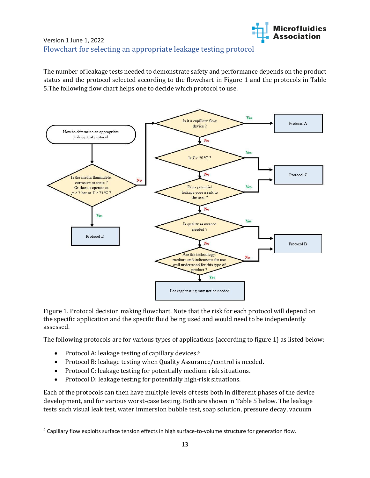

### <span id="page-12-0"></span>Version 1 June 1, 2022 Flowchart for selecting an appropriate leakage testing protocol

The number of leakage tests needed to demonstrate safety and performance depends on the product status and the protocol selected according to the flowchart in Figure 1 and the protocols in Table 5.The following flow chart helps one to decide which protocol to use.



Figure 1. Protocol decision making flowchart. Note that the risk for each protocol will depend on the specific application and the specific fluid being used and would need to be independently assessed.

The following protocols are for various types of applications (according to figure 1) as listed below:

- Protocol A: leakage testing of capillary devices.<sup>4</sup>
- Protocol B: leakage testing when Quality Assurance/control is needed.
- Protocol C: leakage testing for potentially medium risk situations.
- Protocol D: leakage testing for potentially high-risk situations.

Each of the protocols can then have multiple levels of tests both in different phases of the device development, and for various worst-case testing. Both are shown in Table 5 below. The leakage tests such visual leak test, water immersion bubble test, soap solution, pressure decay, vacuum

<sup>4</sup> Capillary flow exploits surface tension effects in high surface-to-volume structure for generation flow.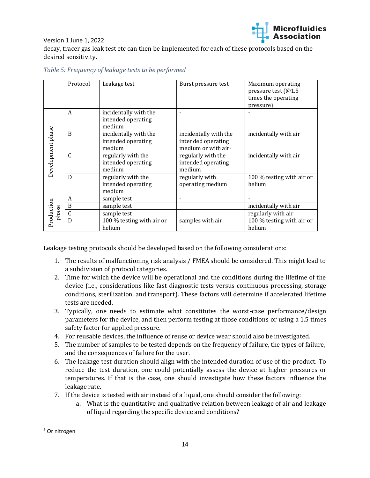

Version 1 June 1, 2022 decay, tracer gas leak test etc can then be implemented for each of these protocols based on the desired sensitivity.

|                   | Protocol         | Leakage test                                          | Burst pressure test                                                            | Maximum operating<br>pressure test (@1.5<br>times the operating<br>pressure) |
|-------------------|------------------|-------------------------------------------------------|--------------------------------------------------------------------------------|------------------------------------------------------------------------------|
|                   | A                | incidentally with the<br>intended operating<br>medium |                                                                                |                                                                              |
| Development phase | <sub>B</sub>     | incidentally with the<br>intended operating<br>medium | incidentally with the<br>intended operating<br>medium or with air <sup>5</sup> | incidentally with air                                                        |
|                   | $\mathcal{C}$    | regularly with the<br>intended operating<br>medium    | regularly with the<br>intended operating<br>medium                             | incidentally with air                                                        |
|                   | $\mathbf{D}$     | regularly with the<br>intended operating<br>medium    | regularly with<br>operating medium                                             | 100 % testing with air or<br>helium                                          |
|                   | A                | sample test                                           |                                                                                |                                                                              |
|                   | $\boldsymbol{B}$ | sample test                                           |                                                                                | incidentally with air                                                        |
| phase             | $\mathsf{C}$     | sample test                                           |                                                                                | regularly with air                                                           |
| Production        | D                | 100 % testing with air or<br>helium                   | samples with air                                                               | 100 % testing with air or<br>helium                                          |

*Table 5: Frequency of leakage tests to be performed* 

Leakage testing protocols should be developed based on the following considerations:

- 1. The results of malfunctioning risk analysis / FMEA should be considered. This might lead to a subdivision of protocol categories.
- 2. Time for which the device will be operational and the conditions during the lifetime of the device (i.e., considerations like fast diagnostic tests versus continuous processing, storage conditions, sterilization, and transport). These factors will determine if accelerated lifetime tests are needed.
- 3. Typically, one needs to estimate what constitutes the worst-case performance/design parameters for the device, and then perform testing at those conditions or using a 1.5 times safety factor for applied pressure.
- 4. For reusable devices, the influence of reuse or device wear should also be investigated.
- 5. The number of samples to be tested depends on the frequency of failure, the types of failure, and the consequences of failure for the user.
- 6. The leakage test duration should align with the intended duration of use of the product. To reduce the test duration, one could potentially assess the device at higher pressures or temperatures. If that is the case, one should investigate how these factors influence the leakage rate.
- 7. If the device is tested with air instead of a liquid, one should consider the following:
	- a. What is the quantitative and qualitative relation between leakage of air and leakage of liquid regarding the specific device and conditions?

<sup>5</sup> Or nitrogen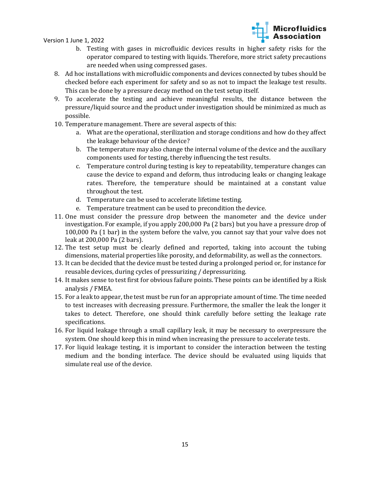

- b. Testing with gases in microfluidic devices results in higher safety risks for the operator compared to testing with liquids. Therefore, more strict safety precautions are needed when using compressed gases.
- 8. Ad hoc installations with microfluidic components and devices connected by tubes should be checked before each experiment for safety and so as not to impact the leakage test results. This can be done by a pressure decay method on the test setup itself.
- 9. To accelerate the testing and achieve meaningful results, the distance between the pressure/liquid source and the product under investigation should be minimized as much as possible.
- 10. Temperature management. There are several aspects of this:
	- a. What are the operational, sterilization and storage conditions and how do they affect the leakage behaviour of the device?
	- b. The temperature may also change the internal volume of the device and the auxiliary components used for testing, thereby influencing the test results.
	- c. Temperature control during testing is key to repeatability, temperature changes can cause the device to expand and deform, thus introducing leaks or changing leakage rates. Therefore, the temperature should be maintained at a constant value throughout the test.
	- d. Temperature can be used to accelerate lifetime testing.
	- e. Temperature treatment can be used to precondition the device.
- 11. One must consider the pressure drop between the manometer and the device under investigation. For example, if you apply 200,000 Pa (2 bars) but you have a pressure drop of 100,000 Pa (1 bar) in the system before the valve, you cannot say that your valve does not leak at 200,000 Pa (2 bars).
- 12. The test setup must be clearly defined and reported, taking into account the tubing dimensions, material properties like porosity, and deformability, as well as the connectors.
- 13. It can be decided that the device must be tested during a prolonged period or, for instance for reusable devices, during cycles of pressurizing / depressurizing.
- 14. It makes sense to test first for obvious failure points. These points can be identified by a Risk analysis / FMEA.
- 15. For a leak to appear, the test must be run for an appropriate amount of time. The time needed to test increases with decreasing pressure. Furthermore, the smaller the leak the longer it takes to detect. Therefore, one should think carefully before setting the leakage rate specifications.
- 16. For liquid leakage through a small capillary leak, it may be necessary to overpressure the system. One should keep this in mind when increasing the pressure to accelerate tests.
- 17. For liquid leakage testing, it is important to consider the interaction between the testing medium and the bonding interface. The device should be evaluated using liquids that simulate real use of the device.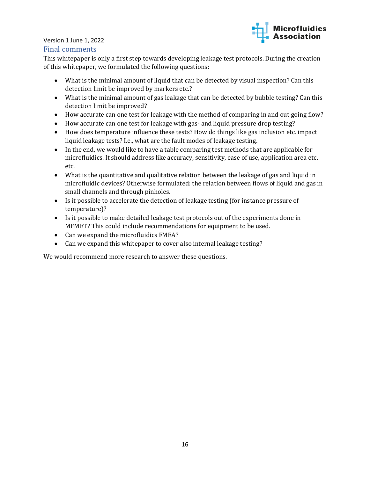

#### Final comments

This whitepaper is only a first step towards developing leakage test protocols. During the creation of this whitepaper, we formulated the following questions:

- What is the minimal amount of liquid that can be detected by visual inspection? Can this detection limit be improved by markers etc.?
- What is the minimal amount of gas leakage that can be detected by bubble testing? Can this detection limit be improved?
- How accurate can one test for leakage with the method of comparing in and out going flow?
- How accurate can one test for leakage with gas- and liquid pressure drop testing?
- How does temperature influence these tests? How do things like gas inclusion etc. impact liquid leakage tests? I.e., what are the fault modes of leakage testing.
- In the end, we would like to have a table comparing test methods that are applicable for microfluidics. It should address like accuracy, sensitivity, ease of use, application area etc. etc.
- What is the quantitative and qualitative relation between the leakage of gas and liquid in microfluidic devices? Otherwise formulated: the relation between flows of liquid and gas in small channels and through pinholes.
- Is it possible to accelerate the detection of leakage testing (for instance pressure of temperature)?
- Is it possible to make detailed leakage test protocols out of the experiments done in MFMET? This could include recommendations for equipment to be used.
- Can we expand the microfluidics FMEA?
- Can we expand this whitepaper to cover also internal leakage testing?

We would recommend more research to answer these questions.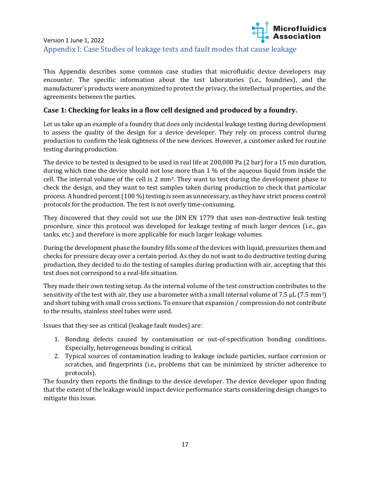## <span id="page-16-0"></span>Microfluidics<br>**Explorance 1999**<br>Association Version 1 June 1, 2022 Appendix I: Case Studies of leakage tests and fault modes that cause leakage

This Appendix describes some common case studies that microfluidic device developers may encounter. The specific information about the test laboratories (i.e., foundries), and the manufacturer's products were anonymized to protect the privacy, the intellectual properties, and the agreements between the parties.

#### **Case 1: Checking for leaks in a flow cell designed and produced by a foundry.**

Let us take up an example of a foundry that does only incidental leakage testing during development to assess the quality of the design for a device developer. They rely on process control during production to confirm the leak tightness of the new devices. However, a customer asked for routine testing during production.

The device to be tested is designed to be used in real life at 200,000 Pa (2 bar) for a 15 min duration, during which time the device should not lose more than 1 % of the aqueous liquid from inside the cell. The internal volume of the cell is 2 mm3. They want to test during the development phase to check the design, and they want to test samples taken during production to check that particular process. A hundred percent (100 %) testing is seen as unnecessary, as they have strict process control protocols for the production. The test is not overly time-consuming.

They discovered that they could not use the DIN EN 1779 that uses non-destructive leak testing procedure, since this protocol was developed for leakage testing of much larger devices (i.e., gas tanks, etc.) and therefore is more applicable for much larger leakage volumes.

During the development phase the foundry fills some of the devices with liquid, pressurizes them and checks for pressure decay over a certain period. As they do not want to do destructive testing during production, they decided to do the testing of samples during production with air, accepting that this test does not correspond to a real-life situation.

They made their own testing setup. As the internal volume of the test construction contributes to the sensitivity of the test with air, they use a barometer with a small internal volume of 7.5  $\mu$ L (7.5 mm<sup>3</sup>) and short tubing with small cross sections. To ensure that expansion / compression do not contribute to the results, stainless steel tubes were used.

Issues that they see as critical (leakage fault modes) are:

- 1. Bonding defects caused by contamination or out-of-specification bonding conditions. Especially, heterogeneous bonding is critical.
- 2. Typical sources of contamination leading to leakage include particles, surface corrosion or scratches, and fingerprints (i.e., problems that can be minimized by stricter adherence to protocols).

The foundry then reports the findings to the device developer. The device developer upon finding that the extent of the leakage would impact device performance starts considering design changes to mitigate this issue.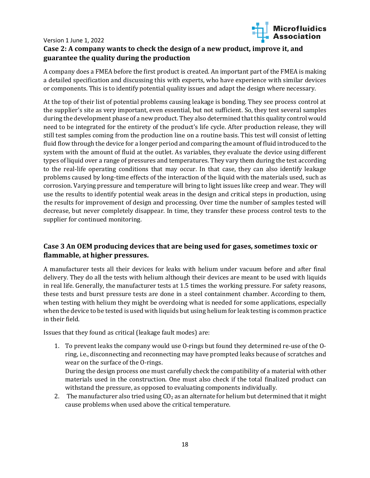

#### Version 1 June 1, 2022 **Case 2: A company wants to check the design of a new product, improve it, and guarantee the quality during the production**

A company does a FMEA before the first product is created. An important part of the FMEA is making a detailed specification and discussing this with experts, who have experience with similar devices or components. This is to identify potential quality issues and adapt the design where necessary.

At the top of their list of potential problems causing leakage is bonding. They see process control at the supplier's site as very important, even essential, but not sufficient. So, they test several samples during the development phase of a new product. They also determined that this quality control would need to be integrated for the entirety of the product's life cycle. After production release, they will still test samples coming from the production line on a routine basis. This test will consist of letting fluid flow through the device for a longer period and comparing the amount of fluid introduced to the system with the amount of fluid at the outlet. As variables, they evaluate the device using different types of liquid over a range of pressures and temperatures. They vary them during the test according to the real-life operating conditions that may occur. In that case, they can also identify leakage problems caused by long-time effects of the interaction of the liquid with the materials used, such as corrosion. Varying pressure and temperature will bring to light issues like creep and wear. They will use the results to identify potential weak areas in the design and critical steps in production, using the results for improvement of design and processing. Over time the number of samples tested will decrease, but never completely disappear. In time, they transfer these process control tests to the supplier for continued monitoring.

## **Case 3 An OEM producing devices that are being used for gases, sometimes toxic or flammable, at higher pressures.**

A manufacturer tests all their devices for leaks with helium under vacuum before and after final delivery. They do all the tests with helium although their devices are meant to be used with liquids in real life. Generally, the manufacturer tests at 1.5 times the working pressure. For safety reasons, these tests and burst pressure tests are done in a steel containment chamber. According to them, when testing with helium they might be overdoing what is needed for some applications, especially when the device to be tested is used with liquids but using helium for leak testing is common practice in their field.

Issues that they found as critical (leakage fault modes) are:

1. To prevent leaks the company would use O-rings but found they determined re-use of the Oring, i.e., disconnecting and reconnecting may have prompted leaks because of scratches and wear on the surface of the O-rings.

During the design process one must carefully check the compatibility of a material with other materials used in the construction. One must also check if the total finalized product can withstand the pressure, as opposed to evaluating components individually.

2. The manufacturer also tried using  $CO<sub>2</sub>$  as an alternate for helium but determined that it might cause problems when used above the critical temperature.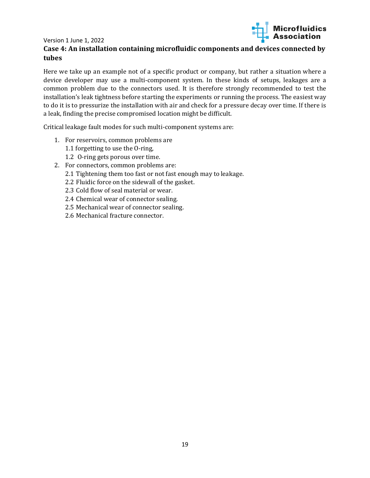

#### **Case 4: An installation containing microfluidic components and devices connected by tubes**

Here we take up an example not of a specific product or company, but rather a situation where a device developer may use a multi-component system. In these kinds of setups, leakages are a common problem due to the connectors used. It is therefore strongly recommended to test the installation's leak tightness before starting the experiments or running the process. The easiest way to do it is to pressurize the installation with air and check for a pressure decay over time. If there is a leak, finding the precise compromised location might be difficult.

Critical leakage fault modes for such multi-component systems are:

- 1. For reservoirs, common problems are
	- 1.1 forgetting to use the O-ring,
	- 1.2 O-ring gets porous over time.
- 2. For connectors, common problems are:
	- 2.1 Tightening them too fast or not fast enough may to leakage.
	- 2.2 Fluidic force on the sidewall of the gasket.
	- 2.3 Cold flow of seal material or wear.
	- 2.4 Chemical wear of connector sealing.
	- 2.5 Mechanical wear of connector sealing.
	- 2.6 Mechanical fracture connector.